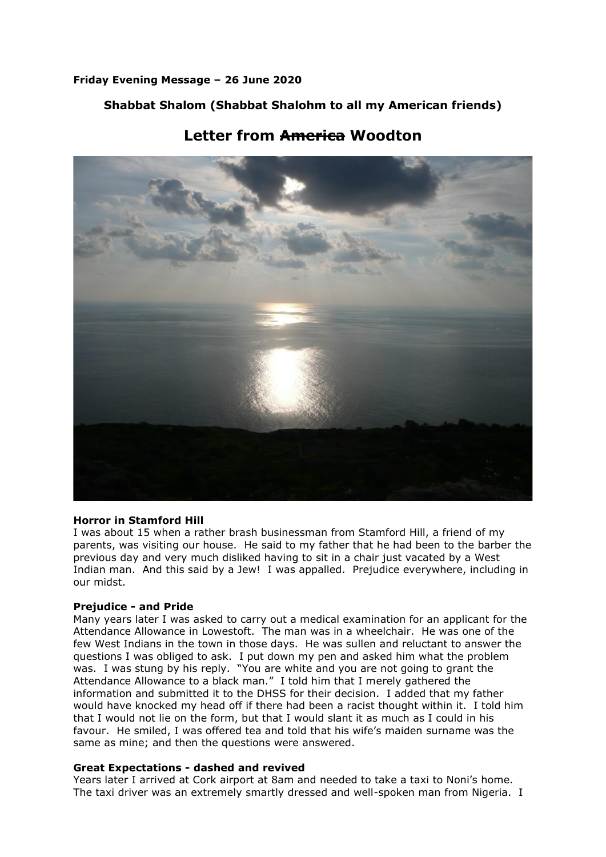### **Friday Evening Message – 26 June 2020**

## **Shabbat Shalom (Shabbat Shalohm to all my American friends)**

# **Letter from America Woodton**

#### **Horror in Stamford Hill**

I was about 15 when a rather brash businessman from Stamford Hill, a friend of my parents, was visiting our house. He said to my father that he had been to the barber the previous day and very much disliked having to sit in a chair just vacated by a West Indian man. And this said by a Jew! I was appalled. Prejudice everywhere, including in our midst.

#### **Prejudice - and Pride**

Many years later I was asked to carry out a medical examination for an applicant for the Attendance Allowance in Lowestoft. The man was in a wheelchair. He was one of the few West Indians in the town in those days. He was sullen and reluctant to answer the questions I was obliged to ask. I put down my pen and asked him what the problem was. I was stung by his reply. "You are white and you are not going to grant the Attendance Allowance to a black man." I told him that I merely gathered the information and submitted it to the DHSS for their decision. I added that my father would have knocked my head off if there had been a racist thought within it. I told him that I would not lie on the form, but that I would slant it as much as I could in his favour. He smiled, I was offered tea and told that his wife's maiden surname was the same as mine; and then the questions were answered.

#### **Great Expectations - dashed and revived**

Years later I arrived at Cork airport at 8am and needed to take a taxi to Noni's home. The taxi driver was an extremely smartly dressed and well-spoken man from Nigeria. I